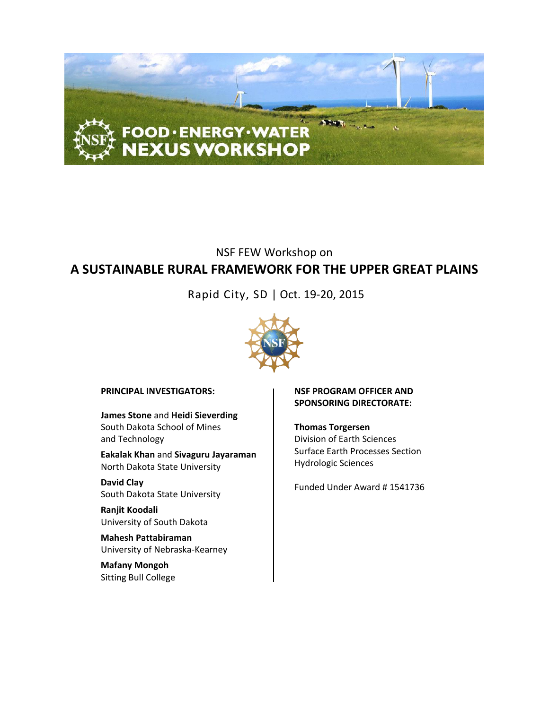

# NSF FEW Workshop on **A SUSTAINABLE RURAL FRAMEWORK FOR THE UPPER GREAT PLAINS**

Rapid City, SD | Oct. 19-20, 2015



**PRINCIPAL INVESTIGATORS:**

**James Stone** and **Heidi Sieverding** South Dakota School of Mines and Technology

**Eakalak Khan** and **Sivaguru Jayaraman** North Dakota State University

**David Clay** South Dakota State University

**Ranjit Koodali** University of South Dakota

**Mahesh Pattabiraman** University of Nebraska-Kearney

**Mafany Mongoh** Sitting Bull College

#### **NSF PROGRAM OFFICER AND SPONSORING DIRECTORATE:**

**Thomas Torgersen** Division of Earth Sciences Surface Earth Processes Section Hydrologic Sciences

Funded Under Award # 1541736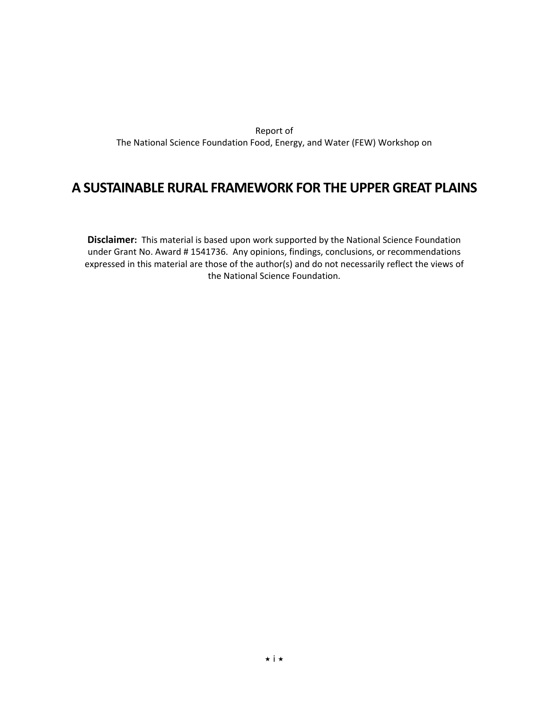Report of The National Science Foundation Food, Energy, and Water (FEW) Workshop on

# **A SUSTAINABLE RURAL FRAMEWORK FOR THE UPPER GREAT PLAINS**

**Disclaimer:** This material is based upon work supported by the National Science Foundation under Grant No. Award # 1541736. Any opinions, findings, conclusions, or recommendations expressed in this material are those of the author(s) and do not necessarily reflect the views of the National Science Foundation.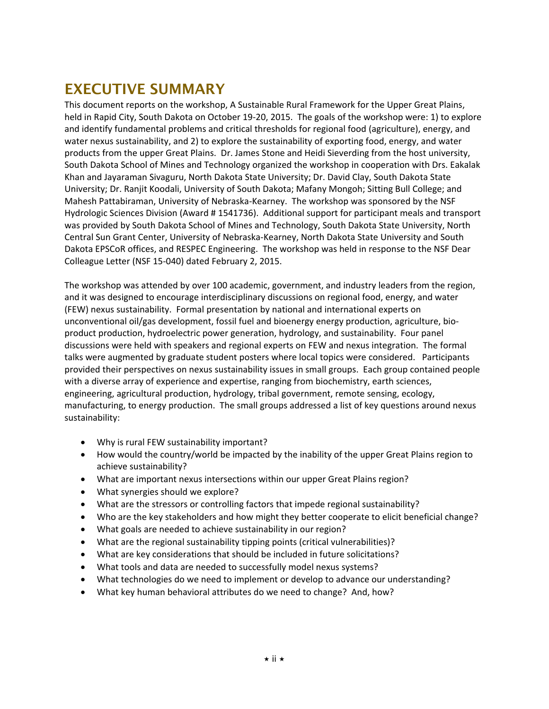# **EXECUTIVE SUMMARY**

This document reports on the workshop, A Sustainable Rural Framework for the Upper Great Plains, held in Rapid City, South Dakota on October 19-20, 2015. The goals of the workshop were: 1) to explore and identify fundamental problems and critical thresholds for regional food (agriculture), energy, and water nexus sustainability, and 2) to explore the sustainability of exporting food, energy, and water products from the upper Great Plains. Dr. James Stone and Heidi Sieverding from the host university, South Dakota School of Mines and Technology organized the workshop in cooperation with Drs. Eakalak Khan and Jayaraman Sivaguru, North Dakota State University; Dr. David Clay, South Dakota State University; Dr. Ranjit Koodali, University of South Dakota; Mafany Mongoh; Sitting Bull College; and Mahesh Pattabiraman, University of Nebraska-Kearney. The workshop was sponsored by the NSF Hydrologic Sciences Division (Award # 1541736). Additional support for participant meals and transport was provided by South Dakota School of Mines and Technology, South Dakota State University, North Central Sun Grant Center, University of Nebraska-Kearney, North Dakota State University and South Dakota EPSCoR offices, and RESPEC Engineering. The workshop was held in response to the NSF Dear Colleague Letter (NSF 15-040) dated February 2, 2015.

The workshop was attended by over 100 academic, government, and industry leaders from the region, and it was designed to encourage interdisciplinary discussions on regional food, energy, and water (FEW) nexus sustainability. Formal presentation by national and international experts on unconventional oil/gas development, fossil fuel and bioenergy energy production, agriculture, bioproduct production, hydroelectric power generation, hydrology, and sustainability. Four panel discussions were held with speakers and regional experts on FEW and nexus integration. The formal talks were augmented by graduate student posters where local topics were considered. Participants provided their perspectives on nexus sustainability issues in small groups. Each group contained people with a diverse array of experience and expertise, ranging from biochemistry, earth sciences, engineering, agricultural production, hydrology, tribal government, remote sensing, ecology, manufacturing, to energy production. The small groups addressed a list of key questions around nexus sustainability:

- Why is rural FEW sustainability important?
- How would the country/world be impacted by the inability of the upper Great Plains region to achieve sustainability?
- What are important nexus intersections within our upper Great Plains region?
- What synergies should we explore?
- What are the stressors or controlling factors that impede regional sustainability?
- Who are the key stakeholders and how might they better cooperate to elicit beneficial change?
- What goals are needed to achieve sustainability in our region?
- What are the regional sustainability tipping points (critical vulnerabilities)?
- What are key considerations that should be included in future solicitations?
- What tools and data are needed to successfully model nexus systems?
- What technologies do we need to implement or develop to advance our understanding?
- What key human behavioral attributes do we need to change? And, how?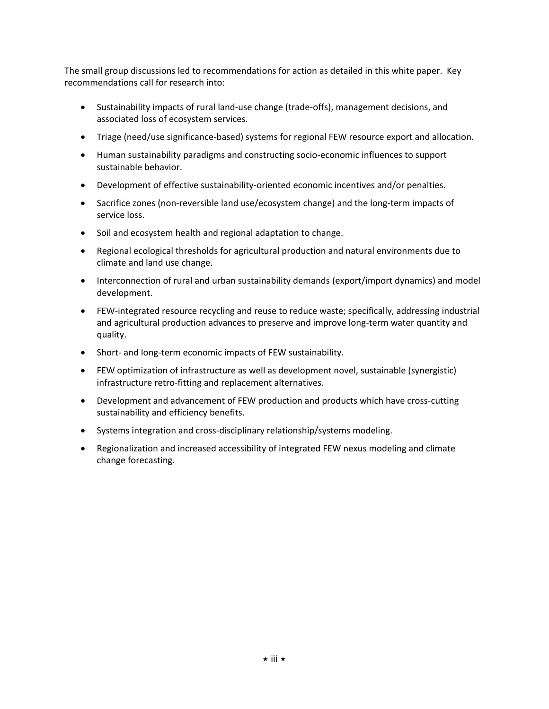The small group discussions led to recommendations for action as detailed in this white paper. Key recommendations call for research into:

- Sustainability impacts of rural land-use change (trade-offs), management decisions, and associated loss of ecosystem services.
- Triage (need/use significance-based) systems for regional FEW resource export and allocation.
- Human sustainability paradigms and constructing socio-economic influences to support sustainable behavior.
- Development of effective sustainability-oriented economic incentives and/or penalties.
- Sacrifice zones (non-reversible land use/ecosystem change) and the long-term impacts of service loss.
- Soil and ecosystem health and regional adaptation to change.
- Regional ecological thresholds for agricultural production and natural environments due to climate and land use change.
- Interconnection of rural and urban sustainability demands (export/import dynamics) and model development.
- FEW-integrated resource recycling and reuse to reduce waste; specifically, addressing industrial and agricultural production advances to preserve and improve long-term water quantity and quality.
- Short- and long-term economic impacts of FEW sustainability.
- FEW optimization of infrastructure as well as development novel, sustainable (synergistic) infrastructure retro-fitting and replacement alternatives.
- Development and advancement of FEW production and products which have cross-cutting sustainability and efficiency benefits.
- Systems integration and cross-disciplinary relationship/systems modeling.
- Regionalization and increased accessibility of integrated FEW nexus modeling and climate change forecasting.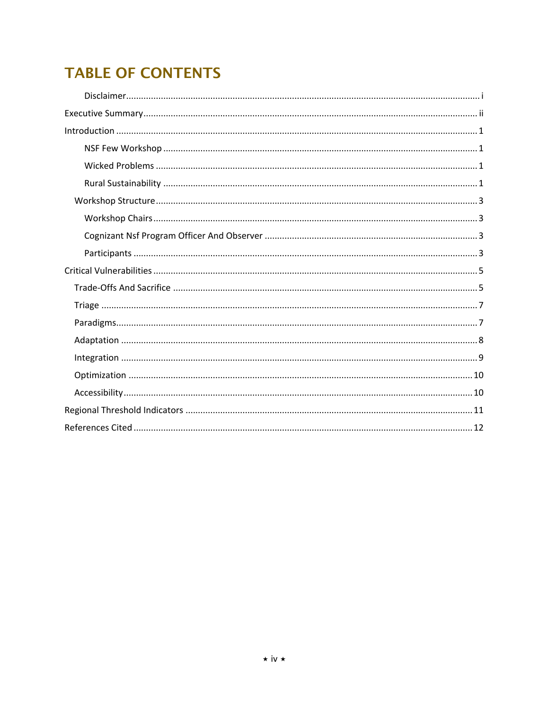# **TABLE OF CONTENTS**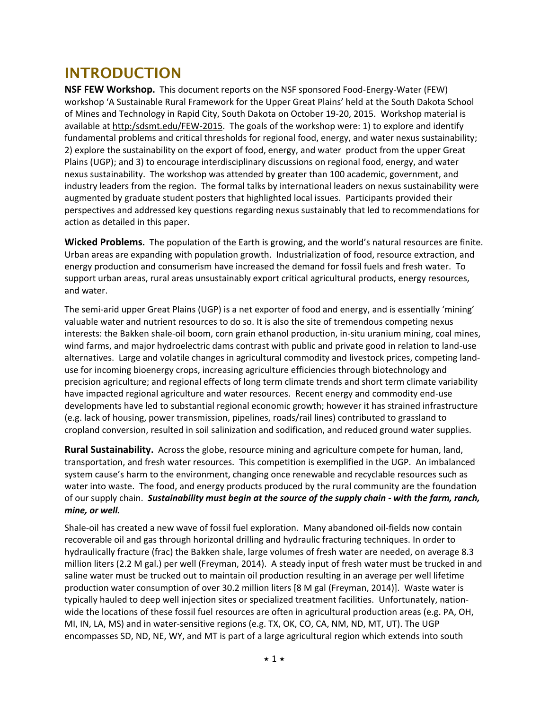# **INTRODUCTION**

**NSF FEW Workshop.** This document reports on the NSF sponsored Food-Energy-Water (FEW) workshop 'A Sustainable Rural Framework for the Upper Great Plains' held at the South Dakota School of Mines and Technology in Rapid City, South Dakota on October 19-20, 2015. Workshop material is available at http:/sdsmt.edu/FEW-2015. The goals of the workshop were: 1) to explore and identify fundamental problems and critical thresholds for regional food, energy, and water nexus sustainability; 2) explore the sustainability on the export of food, energy, and water product from the upper Great Plains (UGP); and 3) to encourage interdisciplinary discussions on regional food, energy, and water nexus sustainability. The workshop was attended by greater than 100 academic, government, and industry leaders from the region. The formal talks by international leaders on nexus sustainability were augmented by graduate student posters that highlighted local issues. Participants provided their perspectives and addressed key questions regarding nexus sustainably that led to recommendations for action as detailed in this paper.

**Wicked Problems.** The population of the Earth is growing, and the world's natural resources are finite. Urban areas are expanding with population growth. Industrialization of food, resource extraction, and energy production and consumerism have increased the demand for fossil fuels and fresh water. To support urban areas, rural areas unsustainably export critical agricultural products, energy resources, and water.

The semi-arid upper Great Plains (UGP) is a net exporter of food and energy, and is essentially 'mining' valuable water and nutrient resources to do so. It is also the site of tremendous competing nexus interests: the Bakken shale-oil boom, corn grain ethanol production, in-situ uranium mining, coal mines, wind farms, and major hydroelectric dams contrast with public and private good in relation to land-use alternatives. Large and volatile changes in agricultural commodity and livestock prices, competing landuse for incoming bioenergy crops, increasing agriculture efficiencies through biotechnology and precision agriculture; and regional effects of long term climate trends and short term climate variability have impacted regional agriculture and water resources. Recent energy and commodity end-use developments have led to substantial regional economic growth; however it has strained infrastructure (e.g. lack of housing, power transmission, pipelines, roads/rail lines) contributed to grassland to cropland conversion, resulted in soil salinization and sodification, and reduced ground water supplies.

**Rural Sustainability.** Across the globe, resource mining and agriculture compete for human, land, transportation, and fresh water resources. This competition is exemplified in the UGP. An imbalanced system cause's harm to the environment, changing once renewable and recyclable resources such as water into waste. The food, and energy products produced by the rural community are the foundation of our supply chain. *Sustainability must begin at the source of the supply chain - with the farm, ranch, mine, or well.*

Shale-oil has created a new wave of fossil fuel exploration. Many abandoned oil-fields now contain recoverable oil and gas through horizontal drilling and hydraulic fracturing techniques. In order to hydraulically fracture (frac) the Bakken shale, large volumes of fresh water are needed, on average 8.3 million liters (2.2 M gal.) per well (Freyman, 2014). A steady input of fresh water must be trucked in and saline water must be trucked out to maintain oil production resulting in an average per well lifetime production water consumption of over 30.2 million liters [8 M gal (Freyman, 2014)]. Waste water is typically hauled to deep well injection sites or specialized treatment facilities. Unfortunately, nationwide the locations of these fossil fuel resources are often in agricultural production areas (e.g. PA, OH, MI, IN, LA, MS) and in water-sensitive regions (e.g. TX, OK, CO, CA, NM, ND, MT, UT). The UGP encompasses SD, ND, NE, WY, and MT is part of a large agricultural region which extends into south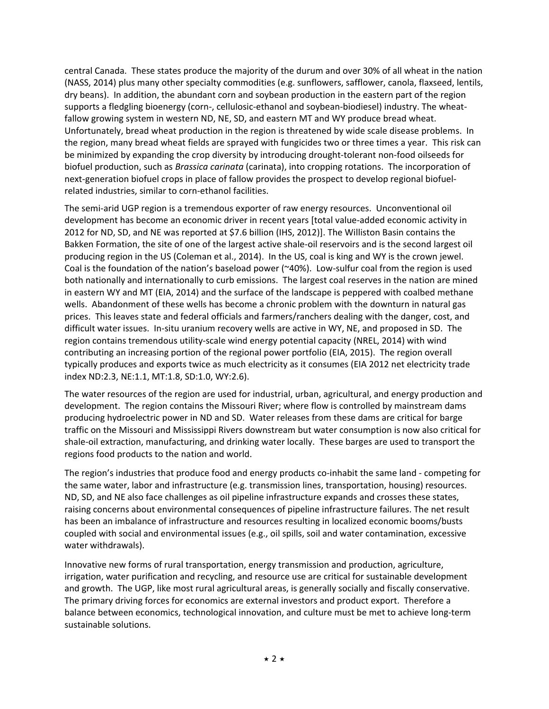central Canada. These states produce the majority of the durum and over 30% of all wheat in the nation (NASS, 2014) plus many other specialty commodities (e.g. sunflowers, safflower, canola, flaxseed, lentils, dry beans). In addition, the abundant corn and soybean production in the eastern part of the region supports a fledgling bioenergy (corn-, cellulosic-ethanol and soybean-biodiesel) industry. The wheatfallow growing system in western ND, NE, SD, and eastern MT and WY produce bread wheat. Unfortunately, bread wheat production in the region is threatened by wide scale disease problems. In the region, many bread wheat fields are sprayed with fungicides two or three times a year. This risk can be minimized by expanding the crop diversity by introducing drought-tolerant non-food oilseeds for biofuel production, such as *Brassica carinata* (carinata), into cropping rotations. The incorporation of next-generation biofuel crops in place of fallow provides the prospect to develop regional biofuelrelated industries, similar to corn-ethanol facilities.

The semi-arid UGP region is a tremendous exporter of raw energy resources. Unconventional oil development has become an economic driver in recent years [total value-added economic activity in 2012 for ND, SD, and NE was reported at \$7.6 billion (IHS, 2012)]. The Williston Basin contains the Bakken Formation, the site of one of the largest active shale-oil reservoirs and is the second largest oil producing region in the US (Coleman et al., 2014). In the US, coal is king and WY is the crown jewel. Coal is the foundation of the nation's baseload power (~40%). Low-sulfur coal from the region is used both nationally and internationally to curb emissions. The largest coal reserves in the nation are mined in eastern WY and MT (EIA, 2014) and the surface of the landscape is peppered with coalbed methane wells. Abandonment of these wells has become a chronic problem with the downturn in natural gas prices. This leaves state and federal officials and farmers/ranchers dealing with the danger, cost, and difficult water issues. In-situ uranium recovery wells are active in WY, NE, and proposed in SD. The region contains tremendous utility-scale wind energy potential capacity (NREL, 2014) with wind contributing an increasing portion of the regional power portfolio (EIA, 2015). The region overall typically produces and exports twice as much electricity as it consumes (EIA 2012 net electricity trade index ND:2.3, NE:1.1, MT:1.8, SD:1.0, WY:2.6).

The water resources of the region are used for industrial, urban, agricultural, and energy production and development. The region contains the Missouri River; where flow is controlled by mainstream dams producing hydroelectric power in ND and SD. Water releases from these dams are critical for barge traffic on the Missouri and Mississippi Rivers downstream but water consumption is now also critical for shale-oil extraction, manufacturing, and drinking water locally. These barges are used to transport the regions food products to the nation and world.

The region's industries that produce food and energy products co-inhabit the same land - competing for the same water, labor and infrastructure (e.g. transmission lines, transportation, housing) resources. ND, SD, and NE also face challenges as oil pipeline infrastructure expands and crosses these states, raising concerns about environmental consequences of pipeline infrastructure failures. The net result has been an imbalance of infrastructure and resources resulting in localized economic booms/busts coupled with social and environmental issues (e.g., oil spills, soil and water contamination, excessive water withdrawals).

Innovative new forms of rural transportation, energy transmission and production, agriculture, irrigation, water purification and recycling, and resource use are critical for sustainable development and growth. The UGP, like most rural agricultural areas, is generally socially and fiscally conservative. The primary driving forces for economics are external investors and product export. Therefore a balance between economics, technological innovation, and culture must be met to achieve long-term sustainable solutions.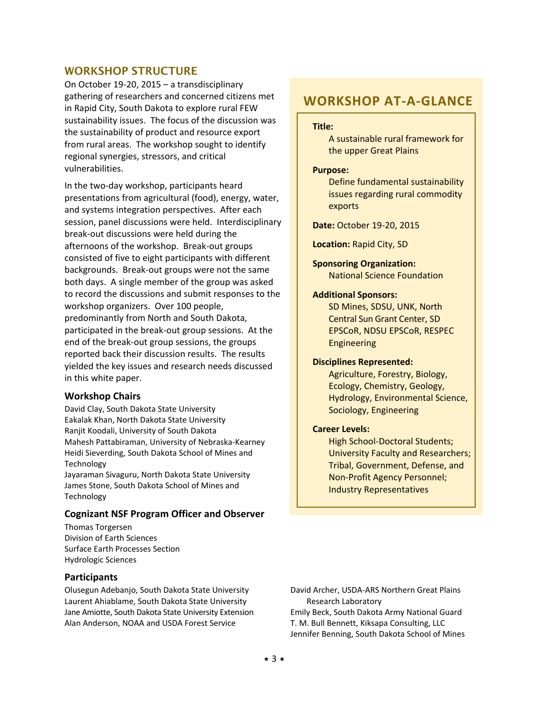#### **WORKSHOP STRUCTURE**

On October 19-20, 2015 – a transdisciplinary gathering of researchers and concerned citizens met in Rapid City, South Dakota to explore rural FEW sustainability issues. The focus of the discussion was the sustainability of product and resource export from rural areas. The workshop sought to identify regional synergies, stressors, and critical vulnerabilities.

In the two-day workshop, participants heard presentations from agricultural (food), energy, water, and systems integration perspectives. After each session, panel discussions were held. Interdisciplinary break-out discussions were held during the afternoons of the workshop. Break-out groups consisted of five to eight participants with different backgrounds. Break-out groups were not the same both days. A single member of the group was asked to record the discussions and submit responses to the workshop organizers. Over 100 people, predominantly from North and South Dakota, participated in the break-out group sessions. At the end of the break-out group sessions, the groups reported back their discussion results. The results yielded the key issues and research needs discussed in this white paper.

#### **Workshop Chairs**

David Clay, South Dakota State University Eakalak Khan, North Dakota State University Ranjit Koodali, University of South Dakota Mahesh Pattabiraman, University of Nebraska-Kearney Heidi Sieverding, South Dakota School of Mines and Technology

Jayaraman Sivaguru, North Dakota State University James Stone, South Dakota School of Mines and Technology

#### **Cognizant NSF Program Officer and Observer**

Thomas Torgersen Division of Earth Sciences Surface Earth Processes Section Hydrologic Sciences

#### **Participants**

Olusegun Adebanjo, South Dakota State University Laurent Ahiablame, South Dakota State University Jane Amiotte, South Dakota State University Extension Alan Anderson, NOAA and USDA Forest Service

## **WORKSHOP AT-A-GLANCE**

#### **Title:**

A sustainable rural framework for the upper Great Plains

#### **Purpose:**

Define fundamental sustainability issues regarding rural commodity exports

**Date:** October 19-20, 2015

**Location:** Rapid City, SD

**Sponsoring Organization:** National Science Foundation

#### **Additional Sponsors:**

SD Mines, SDSU, UNK, North Central Sun Grant Center, SD EPSCoR, NDSU EPSCoR, RESPEC Engineering

#### **Disciplines Represented:**

Agriculture, Forestry, Biology, Ecology, Chemistry, Geology, Hydrology, Environmental Science, Sociology, Engineering

#### **Career Levels:**

High School-Doctoral Students; University Faculty and Researchers; Tribal, Government, Defense, and Non-Profit Agency Personnel; Industry Representatives

David Archer, USDA-ARS Northern Great Plains Research Laboratory Emily Beck, South Dakota Army National Guard T. M. Bull Bennett, Kiksapa Consulting, LLC Jennifer Benning, South Dakota School of Mines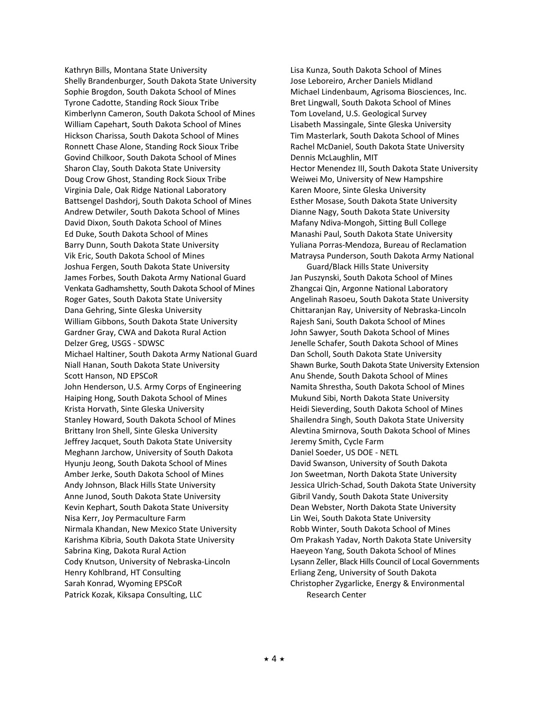Kathryn Bills, Montana State University Shelly Brandenburger, South Dakota State University Sophie Brogdon, South Dakota School of Mines Tyrone Cadotte, Standing Rock Sioux Tribe Kimberlynn Cameron, South Dakota School of Mines William Capehart, South Dakota School of Mines Hickson Charissa, South Dakota School of Mines Ronnett Chase Alone, Standing Rock Sioux Tribe Govind Chilkoor, South Dakota School of Mines Sharon Clay, South Dakota State University Doug Crow Ghost, Standing Rock Sioux Tribe Virginia Dale, Oak Ridge National Laboratory Battsengel Dashdorj, South Dakota School of Mines Andrew Detwiler, South Dakota School of Mines David Dixon, South Dakota School of Mines Ed Duke, South Dakota School of Mines Barry Dunn, South Dakota State University Vik Eric, South Dakota School of Mines Joshua Fergen, South Dakota State University James Forbes, South Dakota Army National Guard Venkata Gadhamshetty, South Dakota School of Mines Roger Gates, South Dakota State University Dana Gehring, Sinte Gleska University William Gibbons, South Dakota State University Gardner Gray, CWA and Dakota Rural Action Delzer Greg, USGS - SDWSC Michael Haltiner, South Dakota Army National Guard Niall Hanan, South Dakota State University Scott Hanson, ND EPSCoR John Henderson, U.S. Army Corps of Engineering Haiping Hong, South Dakota School of Mines Krista Horvath, Sinte Gleska University Stanley Howard, South Dakota School of Mines Brittany Iron Shell, Sinte Gleska University Jeffrey Jacquet, South Dakota State University Meghann Jarchow, University of South Dakota Hyunju Jeong, South Dakota School of Mines Amber Jerke, South Dakota School of Mines Andy Johnson, Black Hills State University Anne Junod, South Dakota State University Kevin Kephart, South Dakota State University Nisa Kerr, Joy Permaculture Farm Nirmala Khandan, New Mexico State University Karishma Kibria, South Dakota State University Sabrina King, Dakota Rural Action Cody Knutson, University of Nebraska-Lincoln Henry Kohlbrand, HT Consulting Sarah Konrad, Wyoming EPSCoR Patrick Kozak, Kiksapa Consulting, LLC

Lisa Kunza, South Dakota School of Mines Jose Leboreiro, Archer Daniels Midland Michael Lindenbaum, Agrisoma Biosciences, Inc. Bret Lingwall, South Dakota School of Mines Tom Loveland, U.S. Geological Survey Lisabeth Massingale, Sinte Gleska University Tim Masterlark, South Dakota School of Mines Rachel McDaniel, South Dakota State University Dennis McLaughlin, MIT Hector Menendez III, South Dakota State University Weiwei Mo, University of New Hampshire Karen Moore, Sinte Gleska University Esther Mosase, South Dakota State University Dianne Nagy, South Dakota State University Mafany Ndiva-Mongoh, Sitting Bull College Manashi Paul, South Dakota State University Yuliana Porras-Mendoza, Bureau of Reclamation Matraysa Punderson, South Dakota Army National

Guard/Black Hills State University Jan Puszynski, South Dakota School of Mines Zhangcai Qin, Argonne National Laboratory Angelinah Rasoeu, South Dakota State University Chittaranjan Ray, University of Nebraska-Lincoln Rajesh Sani, South Dakota School of Mines John Sawyer, South Dakota School of Mines Jenelle Schafer, South Dakota School of Mines Dan Scholl, South Dakota State University Shawn Burke, South Dakota State University Extension Anu Shende, South Dakota School of Mines Namita Shrestha, South Dakota School of Mines Mukund Sibi, North Dakota State University Heidi Sieverding, South Dakota School of Mines Shailendra Singh, South Dakota State University Alevtina Smirnova, South Dakota School of Mines Jeremy Smith, Cycle Farm Daniel Soeder, US DOE - NETL David Swanson, University of South Dakota Jon Sweetman, North Dakota State University

Jessica Ulrich-Schad, South Dakota State University Gibril Vandy, South Dakota State University Dean Webster, North Dakota State University Lin Wei, South Dakota State University Robb Winter, South Dakota School of Mines Om Prakash Yadav, North Dakota State University Haeyeon Yang, South Dakota School of Mines Lysann Zeller, Black Hills Council of Local Governments Erliang Zeng, University of South Dakota Christopher Zygarlicke, Energy & Environmental Research Center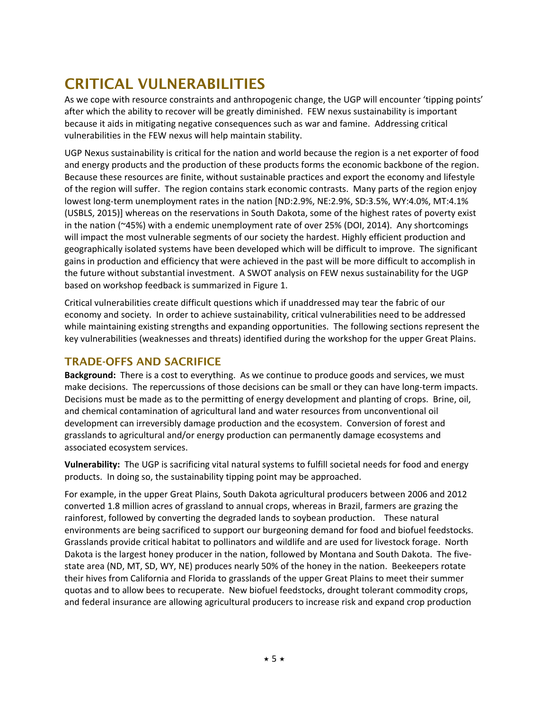# **CRITICAL VULNERABILITIES**

As we cope with resource constraints and anthropogenic change, the UGP will encounter 'tipping points' after which the ability to recover will be greatly diminished. FEW nexus sustainability is important because it aids in mitigating negative consequences such as war and famine. Addressing critical vulnerabilities in the FEW nexus will help maintain stability.

UGP Nexus sustainability is critical for the nation and world because the region is a net exporter of food and energy products and the production of these products forms the economic backbone of the region. Because these resources are finite, without sustainable practices and export the economy and lifestyle of the region will suffer. The region contains stark economic contrasts. Many parts of the region enjoy lowest long-term unemployment rates in the nation [ND:2.9%, NE:2.9%, SD:3.5%, WY:4.0%, MT:4.1% (USBLS, 2015)] whereas on the reservations in South Dakota, some of the highest rates of poverty exist in the nation (~45%) with a endemic unemployment rate of over 25% (DOI, 2014). Any shortcomings will impact the most vulnerable segments of our society the hardest. Highly efficient production and geographically isolated systems have been developed which will be difficult to improve. The significant gains in production and efficiency that were achieved in the past will be more difficult to accomplish in the future without substantial investment. A SWOT analysis on FEW nexus sustainability for the UGP based on workshop feedback is summarized in Figure 1.

Critical vulnerabilities create difficult questions which if unaddressed may tear the fabric of our economy and society. In order to achieve sustainability, critical vulnerabilities need to be addressed while maintaining existing strengths and expanding opportunities. The following sections represent the key vulnerabilities (weaknesses and threats) identified during the workshop for the upper Great Plains.

## **TRADE-OFFS AND SACRIFICE**

**Background:** There is a cost to everything. As we continue to produce goods and services, we must make decisions. The repercussions of those decisions can be small or they can have long-term impacts. Decisions must be made as to the permitting of energy development and planting of crops. Brine, oil, and chemical contamination of agricultural land and water resources from unconventional oil development can irreversibly damage production and the ecosystem. Conversion of forest and grasslands to agricultural and/or energy production can permanently damage ecosystems and associated ecosystem services.

**Vulnerability:** The UGP is sacrificing vital natural systems to fulfill societal needs for food and energy products. In doing so, the sustainability tipping point may be approached.

For example, in the upper Great Plains, South Dakota agricultural producers between 2006 and 2012 converted 1.8 million acres of grassland to annual crops, whereas in Brazil, farmers are grazing the rainforest, followed by converting the degraded lands to soybean production. These natural environments are being sacrificed to support our burgeoning demand for food and biofuel feedstocks. Grasslands provide critical habitat to pollinators and wildlife and are used for livestock forage. North Dakota is the largest honey producer in the nation, followed by Montana and South Dakota. The fivestate area (ND, MT, SD, WY, NE) produces nearly 50% of the honey in the nation. Beekeepers rotate their hives from California and Florida to grasslands of the upper Great Plains to meet their summer quotas and to allow bees to recuperate. New biofuel feedstocks, drought tolerant commodity crops, and federal insurance are allowing agricultural producers to increase risk and expand crop production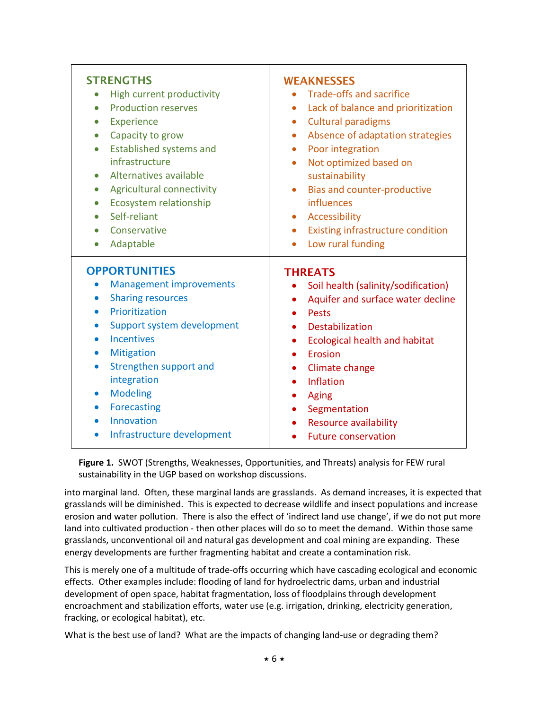| <b>STRENGTHS</b>                                                                                                                                                                                                                                                                                                                                                                                                                                   | <b>WEAKNESSES</b>                                                                                                                                                                                                                                                                                                         |
|----------------------------------------------------------------------------------------------------------------------------------------------------------------------------------------------------------------------------------------------------------------------------------------------------------------------------------------------------------------------------------------------------------------------------------------------------|---------------------------------------------------------------------------------------------------------------------------------------------------------------------------------------------------------------------------------------------------------------------------------------------------------------------------|
| High current productivity                                                                                                                                                                                                                                                                                                                                                                                                                          | <b>Trade-offs and sacrifice</b>                                                                                                                                                                                                                                                                                           |
| <b>Production reserves</b>                                                                                                                                                                                                                                                                                                                                                                                                                         | Lack of balance and prioritization                                                                                                                                                                                                                                                                                        |
| $\bullet$                                                                                                                                                                                                                                                                                                                                                                                                                                          | $\bullet$                                                                                                                                                                                                                                                                                                                 |
| Experience                                                                                                                                                                                                                                                                                                                                                                                                                                         | <b>Cultural paradigms</b>                                                                                                                                                                                                                                                                                                 |
| $\bullet$                                                                                                                                                                                                                                                                                                                                                                                                                                          | $\bullet$                                                                                                                                                                                                                                                                                                                 |
| Capacity to grow                                                                                                                                                                                                                                                                                                                                                                                                                                   | Absence of adaptation strategies                                                                                                                                                                                                                                                                                          |
| $\bullet$                                                                                                                                                                                                                                                                                                                                                                                                                                          | Poor integration                                                                                                                                                                                                                                                                                                          |
| Established systems and                                                                                                                                                                                                                                                                                                                                                                                                                            | $\bullet$                                                                                                                                                                                                                                                                                                                 |
| $\bullet$                                                                                                                                                                                                                                                                                                                                                                                                                                          | Not optimized based on                                                                                                                                                                                                                                                                                                    |
| infrastructure                                                                                                                                                                                                                                                                                                                                                                                                                                     | $\bullet$                                                                                                                                                                                                                                                                                                                 |
| Alternatives available                                                                                                                                                                                                                                                                                                                                                                                                                             | sustainability                                                                                                                                                                                                                                                                                                            |
| Agricultural connectivity                                                                                                                                                                                                                                                                                                                                                                                                                          | Bias and counter-productive                                                                                                                                                                                                                                                                                               |
| $\bullet$                                                                                                                                                                                                                                                                                                                                                                                                                                          | $\bullet$                                                                                                                                                                                                                                                                                                                 |
| Ecosystem relationship                                                                                                                                                                                                                                                                                                                                                                                                                             | influences                                                                                                                                                                                                                                                                                                                |
| $\bullet$                                                                                                                                                                                                                                                                                                                                                                                                                                          | Accessibility                                                                                                                                                                                                                                                                                                             |
| Self-reliant                                                                                                                                                                                                                                                                                                                                                                                                                                       | $\bullet$                                                                                                                                                                                                                                                                                                                 |
| $\bullet$                                                                                                                                                                                                                                                                                                                                                                                                                                          | <b>Existing infrastructure condition</b>                                                                                                                                                                                                                                                                                  |
| Conservative                                                                                                                                                                                                                                                                                                                                                                                                                                       | $\bullet$                                                                                                                                                                                                                                                                                                                 |
| Adaptable                                                                                                                                                                                                                                                                                                                                                                                                                                          | Low rural funding                                                                                                                                                                                                                                                                                                         |
| $\bullet$                                                                                                                                                                                                                                                                                                                                                                                                                                          | $\bullet$                                                                                                                                                                                                                                                                                                                 |
| <b>OPPORTUNITIES</b><br><b>Management improvements</b><br>$\bullet$<br><b>Sharing resources</b><br>$\bullet$<br>Prioritization<br>$\bullet$<br>Support system development<br>$\bullet$<br><b>Incentives</b><br>$\bullet$<br><b>Mitigation</b><br>$\bullet$<br>Strengthen support and<br>$\bullet$<br>integration<br><b>Modeling</b><br>$\bullet$<br>Forecasting<br>$\bullet$<br>Innovation<br>$\bullet$<br>Infrastructure development<br>$\bullet$ | <b>THREATS</b><br>Soil health (salinity/sodification)<br>Aquifer and surface water decline<br>$\bullet$<br>Pests<br>Destabilization<br><b>Ecological health and habitat</b><br>$\bullet$<br>Erosion<br>Climate change<br>Inflation<br>Aging<br>Segmentation<br><b>Resource availability</b><br><b>Future conservation</b> |

**Figure 1.** SWOT (Strengths, Weaknesses, Opportunities, and Threats) analysis for FEW rural sustainability in the UGP based on workshop discussions.

into marginal land. Often, these marginal lands are grasslands. As demand increases, it is expected that grasslands will be diminished. This is expected to decrease wildlife and insect populations and increase erosion and water pollution. There is also the effect of 'indirect land use change', if we do not put more land into cultivated production - then other places will do so to meet the demand. Within those same grasslands, unconventional oil and natural gas development and coal mining are expanding. These energy developments are further fragmenting habitat and create a contamination risk.

This is merely one of a multitude of trade-offs occurring which have cascading ecological and economic effects. Other examples include: flooding of land for hydroelectric dams, urban and industrial development of open space, habitat fragmentation, loss of floodplains through development encroachment and stabilization efforts, water use (e.g. irrigation, drinking, electricity generation, fracking, or ecological habitat), etc.

What is the best use of land? What are the impacts of changing land-use or degrading them?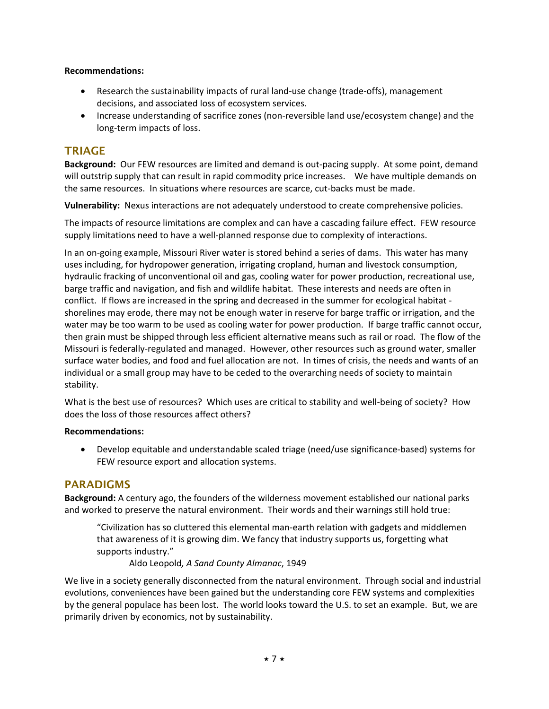#### **Recommendations:**

- Research the sustainability impacts of rural land-use change (trade-offs), management decisions, and associated loss of ecosystem services.
- Increase understanding of sacrifice zones (non-reversible land use/ecosystem change) and the long-term impacts of loss.

## **TRIAGE**

**Background:** Our FEW resources are limited and demand is out-pacing supply. At some point, demand will outstrip supply that can result in rapid commodity price increases. We have multiple demands on the same resources. In situations where resources are scarce, cut-backs must be made.

**Vulnerability:** Nexus interactions are not adequately understood to create comprehensive policies.

The impacts of resource limitations are complex and can have a cascading failure effect. FEW resource supply limitations need to have a well-planned response due to complexity of interactions.

In an on-going example, Missouri River water is stored behind a series of dams. This water has many uses including, for hydropower generation, irrigating cropland, human and livestock consumption, hydraulic fracking of unconventional oil and gas, cooling water for power production, recreational use, barge traffic and navigation, and fish and wildlife habitat. These interests and needs are often in conflict. If flows are increased in the spring and decreased in the summer for ecological habitat shorelines may erode, there may not be enough water in reserve for barge traffic or irrigation, and the water may be too warm to be used as cooling water for power production. If barge traffic cannot occur, then grain must be shipped through less efficient alternative means such as rail or road. The flow of the Missouri is federally-regulated and managed. However, other resources such as ground water, smaller surface water bodies, and food and fuel allocation are not. In times of crisis, the needs and wants of an individual or a small group may have to be ceded to the overarching needs of society to maintain stability.

What is the best use of resources? Which uses are critical to stability and well-being of society? How does the loss of those resources affect others?

#### **Recommendations:**

 Develop equitable and understandable scaled triage (need/use significance-based) systems for FEW resource export and allocation systems.

## **PARADIGMS**

**Background:** A century ago, the founders of the wilderness movement established our national parks and worked to preserve the natural environment. Their words and their warnings still hold true:

"Civilization has so cluttered this elemental man-earth relation with gadgets and middlemen that awareness of it is growing dim. We fancy that industry supports us, forgetting what supports industry."

Aldo Leopold*, A Sand County Almanac*, 1949

We live in a society generally disconnected from the natural environment. Through social and industrial evolutions, conveniences have been gained but the understanding core FEW systems and complexities by the general populace has been lost. The world looks toward the U.S. to set an example. But, we are primarily driven by economics, not by sustainability.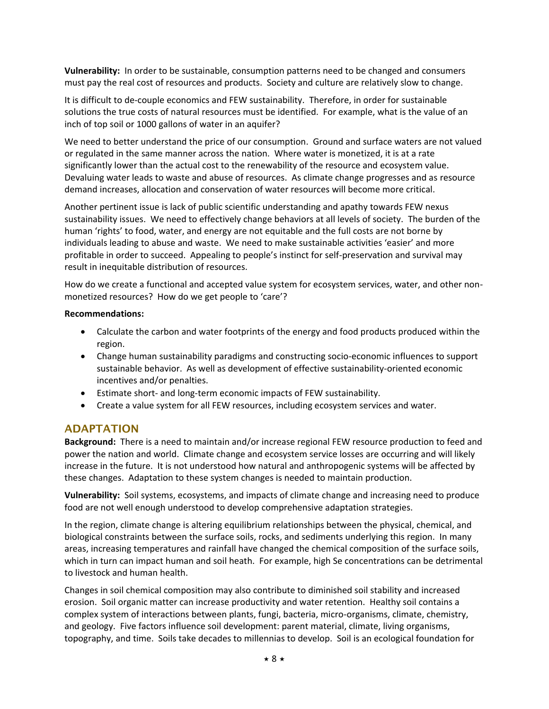**Vulnerability:** In order to be sustainable, consumption patterns need to be changed and consumers must pay the real cost of resources and products. Society and culture are relatively slow to change.

It is difficult to de-couple economics and FEW sustainability. Therefore, in order for sustainable solutions the true costs of natural resources must be identified. For example, what is the value of an inch of top soil or 1000 gallons of water in an aquifer?

We need to better understand the price of our consumption. Ground and surface waters are not valued or regulated in the same manner across the nation. Where water is monetized, it is at a rate significantly lower than the actual cost to the renewability of the resource and ecosystem value. Devaluing water leads to waste and abuse of resources. As climate change progresses and as resource demand increases, allocation and conservation of water resources will become more critical.

Another pertinent issue is lack of public scientific understanding and apathy towards FEW nexus sustainability issues. We need to effectively change behaviors at all levels of society. The burden of the human 'rights' to food, water, and energy are not equitable and the full costs are not borne by individuals leading to abuse and waste. We need to make sustainable activities 'easier' and more profitable in order to succeed. Appealing to people's instinct for self-preservation and survival may result in inequitable distribution of resources.

How do we create a functional and accepted value system for ecosystem services, water, and other nonmonetized resources? How do we get people to 'care'?

#### **Recommendations:**

- Calculate the carbon and water footprints of the energy and food products produced within the region.
- Change human sustainability paradigms and constructing socio-economic influences to support sustainable behavior. As well as development of effective sustainability-oriented economic incentives and/or penalties.
- Estimate short- and long-term economic impacts of FEW sustainability.
- Create a value system for all FEW resources, including ecosystem services and water.

## **ADAPTATION**

**Background:** There is a need to maintain and/or increase regional FEW resource production to feed and power the nation and world. Climate change and ecosystem service losses are occurring and will likely increase in the future. It is not understood how natural and anthropogenic systems will be affected by these changes. Adaptation to these system changes is needed to maintain production.

**Vulnerability:** Soil systems, ecosystems, and impacts of climate change and increasing need to produce food are not well enough understood to develop comprehensive adaptation strategies.

In the region, climate change is altering equilibrium relationships between the physical, chemical, and biological constraints between the surface soils, rocks, and sediments underlying this region. In many areas, increasing temperatures and rainfall have changed the chemical composition of the surface soils, which in turn can impact human and soil heath. For example, high Se concentrations can be detrimental to livestock and human health.

Changes in soil chemical composition may also contribute to diminished soil stability and increased erosion. Soil organic matter can increase productivity and water retention. Healthy soil contains a complex system of interactions between plants, fungi, bacteria, micro-organisms, climate, chemistry, and geology. Five factors influence soil development: parent material, climate, living organisms, topography, and time. Soils take decades to millennias to develop. Soil is an ecological foundation for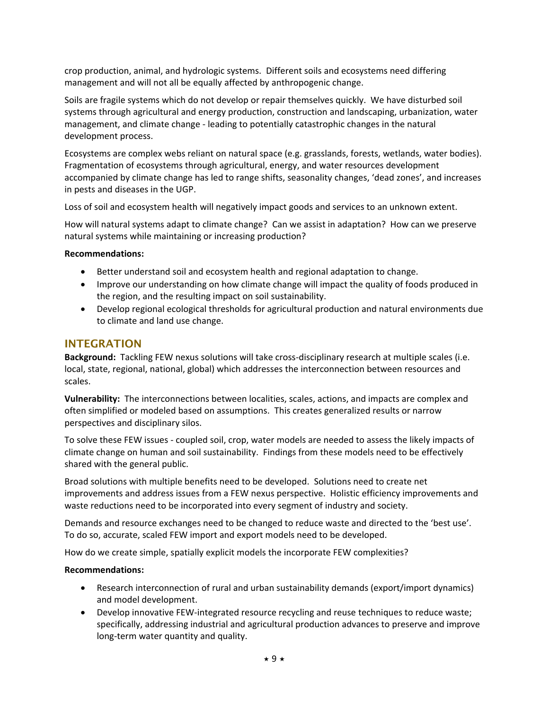crop production, animal, and hydrologic systems. Different soils and ecosystems need differing management and will not all be equally affected by anthropogenic change.

Soils are fragile systems which do not develop or repair themselves quickly. We have disturbed soil systems through agricultural and energy production, construction and landscaping, urbanization, water management, and climate change - leading to potentially catastrophic changes in the natural development process.

Ecosystems are complex webs reliant on natural space (e.g. grasslands, forests, wetlands, water bodies). Fragmentation of ecosystems through agricultural, energy, and water resources development accompanied by climate change has led to range shifts, seasonality changes, 'dead zones', and increases in pests and diseases in the UGP.

Loss of soil and ecosystem health will negatively impact goods and services to an unknown extent.

How will natural systems adapt to climate change? Can we assist in adaptation? How can we preserve natural systems while maintaining or increasing production?

#### **Recommendations:**

- Better understand soil and ecosystem health and regional adaptation to change.
- Improve our understanding on how climate change will impact the quality of foods produced in the region, and the resulting impact on soil sustainability.
- Develop regional ecological thresholds for agricultural production and natural environments due to climate and land use change.

## **INTEGRATION**

**Background:** Tackling FEW nexus solutions will take cross-disciplinary research at multiple scales (i.e. local, state, regional, national, global) which addresses the interconnection between resources and scales.

**Vulnerability:** The interconnections between localities, scales, actions, and impacts are complex and often simplified or modeled based on assumptions. This creates generalized results or narrow perspectives and disciplinary silos.

To solve these FEW issues - coupled soil, crop, water models are needed to assess the likely impacts of climate change on human and soil sustainability. Findings from these models need to be effectively shared with the general public.

Broad solutions with multiple benefits need to be developed. Solutions need to create net improvements and address issues from a FEW nexus perspective. Holistic efficiency improvements and waste reductions need to be incorporated into every segment of industry and society.

Demands and resource exchanges need to be changed to reduce waste and directed to the 'best use'. To do so, accurate, scaled FEW import and export models need to be developed.

How do we create simple, spatially explicit models the incorporate FEW complexities?

#### **Recommendations:**

- Research interconnection of rural and urban sustainability demands (export/import dynamics) and model development.
- Develop innovative FEW-integrated resource recycling and reuse techniques to reduce waste; specifically, addressing industrial and agricultural production advances to preserve and improve long-term water quantity and quality.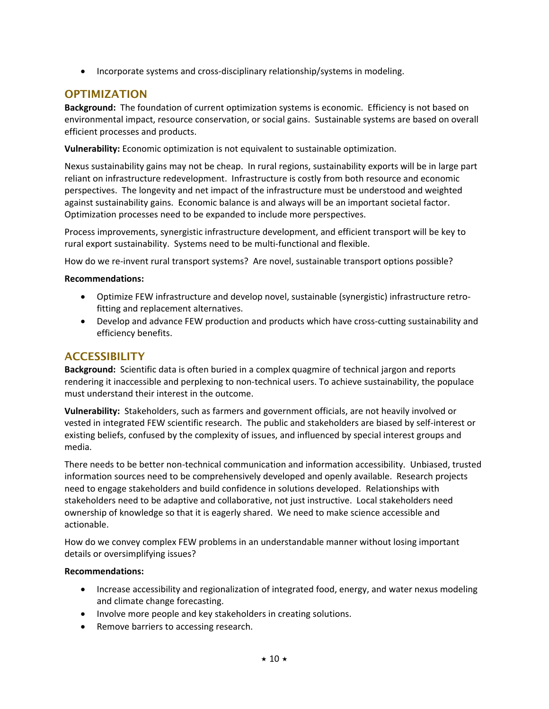• Incorporate systems and cross-disciplinary relationship/systems in modeling.

## **OPTIMIZATION**

**Background:** The foundation of current optimization systems is economic. Efficiency is not based on environmental impact, resource conservation, or social gains. Sustainable systems are based on overall efficient processes and products.

**Vulnerability:** Economic optimization is not equivalent to sustainable optimization.

Nexus sustainability gains may not be cheap. In rural regions, sustainability exports will be in large part reliant on infrastructure redevelopment. Infrastructure is costly from both resource and economic perspectives. The longevity and net impact of the infrastructure must be understood and weighted against sustainability gains. Economic balance is and always will be an important societal factor. Optimization processes need to be expanded to include more perspectives.

Process improvements, synergistic infrastructure development, and efficient transport will be key to rural export sustainability. Systems need to be multi-functional and flexible.

How do we re-invent rural transport systems? Are novel, sustainable transport options possible?

#### **Recommendations:**

- Optimize FEW infrastructure and develop novel, sustainable (synergistic) infrastructure retrofitting and replacement alternatives.
- Develop and advance FEW production and products which have cross-cutting sustainability and efficiency benefits.

## **ACCESSIBILITY**

**Background:** Scientific data is often buried in a complex quagmire of technical jargon and reports rendering it inaccessible and perplexing to non-technical users. To achieve sustainability, the populace must understand their interest in the outcome.

**Vulnerability:** Stakeholders, such as farmers and government officials, are not heavily involved or vested in integrated FEW scientific research. The public and stakeholders are biased by self-interest or existing beliefs, confused by the complexity of issues, and influenced by special interest groups and media.

There needs to be better non-technical communication and information accessibility. Unbiased, trusted information sources need to be comprehensively developed and openly available. Research projects need to engage stakeholders and build confidence in solutions developed. Relationships with stakeholders need to be adaptive and collaborative, not just instructive. Local stakeholders need ownership of knowledge so that it is eagerly shared. We need to make science accessible and actionable.

How do we convey complex FEW problems in an understandable manner without losing important details or oversimplifying issues?

#### **Recommendations:**

- Increase accessibility and regionalization of integrated food, energy, and water nexus modeling and climate change forecasting.
- Involve more people and key stakeholders in creating solutions.
- Remove barriers to accessing research.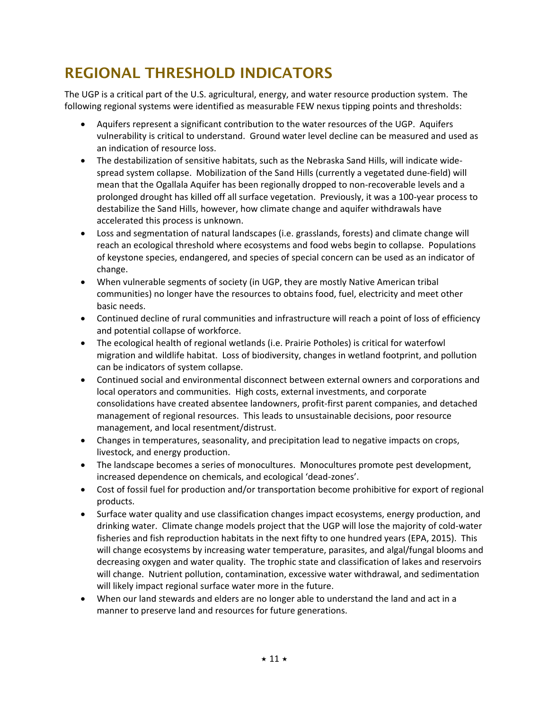# **REGIONAL THRESHOLD INDICATORS**

The UGP is a critical part of the U.S. agricultural, energy, and water resource production system. The following regional systems were identified as measurable FEW nexus tipping points and thresholds:

- Aquifers represent a significant contribution to the water resources of the UGP. Aquifers vulnerability is critical to understand. Ground water level decline can be measured and used as an indication of resource loss.
- The destabilization of sensitive habitats, such as the Nebraska Sand Hills, will indicate widespread system collapse. Mobilization of the Sand Hills (currently a vegetated dune-field) will mean that the Ogallala Aquifer has been regionally dropped to non-recoverable levels and a prolonged drought has killed off all surface vegetation. Previously, it was a 100-year process to destabilize the Sand Hills, however, how climate change and aquifer withdrawals have accelerated this process is unknown.
- Loss and segmentation of natural landscapes (i.e. grasslands, forests) and climate change will reach an ecological threshold where ecosystems and food webs begin to collapse. Populations of keystone species, endangered, and species of special concern can be used as an indicator of change.
- When vulnerable segments of society (in UGP, they are mostly Native American tribal communities) no longer have the resources to obtains food, fuel, electricity and meet other basic needs.
- Continued decline of rural communities and infrastructure will reach a point of loss of efficiency and potential collapse of workforce.
- The ecological health of regional wetlands (i.e. Prairie Potholes) is critical for waterfowl migration and wildlife habitat. Loss of biodiversity, changes in wetland footprint, and pollution can be indicators of system collapse.
- Continued social and environmental disconnect between external owners and corporations and local operators and communities. High costs, external investments, and corporate consolidations have created absentee landowners, profit-first parent companies, and detached management of regional resources. This leads to unsustainable decisions, poor resource management, and local resentment/distrust.
- Changes in temperatures, seasonality, and precipitation lead to negative impacts on crops, livestock, and energy production.
- The landscape becomes a series of monocultures. Monocultures promote pest development, increased dependence on chemicals, and ecological 'dead-zones'.
- Cost of fossil fuel for production and/or transportation become prohibitive for export of regional products.
- Surface water quality and use classification changes impact ecosystems, energy production, and drinking water. Climate change models project that the UGP will lose the majority of cold-water fisheries and fish reproduction habitats in the next fifty to one hundred years (EPA, 2015). This will change ecosystems by increasing water temperature, parasites, and algal/fungal blooms and decreasing oxygen and water quality. The trophic state and classification of lakes and reservoirs will change. Nutrient pollution, contamination, excessive water withdrawal, and sedimentation will likely impact regional surface water more in the future.
- When our land stewards and elders are no longer able to understand the land and act in a manner to preserve land and resources for future generations.